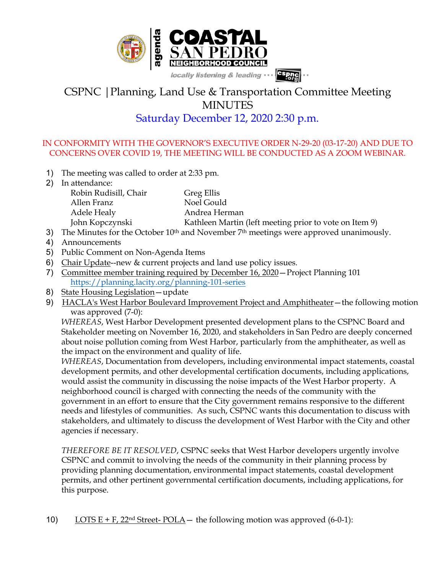

## CSPNC |Planning, Land Use & Transportation Committee Meeting **MINUTES**

## Saturday December 12, 2020 2:30 p.m.

## IN CONFORMITY WITH THE GOVERNOR'S EXECUTIVE ORDER N-29-20 (03-17-20) AND DUE TO CONCERNS OVER COVID 19, THE MEETING WILL BE CONDUCTED AS A ZOOM WEBINAR.

- 1) The meeting was called to order at 2:33 pm.
- 2) In attendance:

Robin Rudisill, Chair Greg Ellis Allen Franz Noel Gould Adele Healy **Andrea Herman** 

- John Kopczynski Kathleen Martin (left meeting prior to vote on Item 9)
- 3) The Minutes for the October  $10<sup>th</sup>$  and November  $7<sup>th</sup>$  meetings were approved unanimously.
- 4) Announcements
- 5) Public Comment on Non-Agenda Items
- 6) Chair Update--new & current projects and land use policy issues.
- 7) Committee member training required by December 16, 2020—Project Planning 101 https://planning.lacity.org/planning-101-series
- 8) State Housing Legislation—update
- 9) HACLA's West Harbor Boulevard Improvement Project and Amphitheater—the following motion was approved (7-0):

*WHEREAS*, West Harbor Development presented development plans to the CSPNC Board and Stakeholder meeting on November 16, 2020, and stakeholders in San Pedro are deeply concerned about noise pollution coming from West Harbor, particularly from the amphitheater, as well as the impact on the environment and quality of life.

*WHEREAS*, Documentation from developers, including environmental impact statements, coastal development permits, and other developmental certification documents, including applications, would assist the community in discussing the noise impacts of the West Harbor property. A neighborhood council is charged with connecting the needs of the community with the government in an effort to ensure that the City government remains responsive to the different needs and lifestyles of communities. As such, CSPNC wants this documentation to discuss with stakeholders, and ultimately to discuss the development of West Harbor with the City and other agencies if necessary.

*THEREFORE BE IT RESOLVED*, CSPNC seeks that West Harbor developers urgently involve CSPNC and commit to involving the needs of the community in their planning process by providing planning documentation, environmental impact statements, coastal development permits, and other pertinent governmental certification documents, including applications, for this purpose.

10) LOTS  $E + F$ , 22<sup>nd</sup> Street-POLA — the following motion was approved (6-0-1):